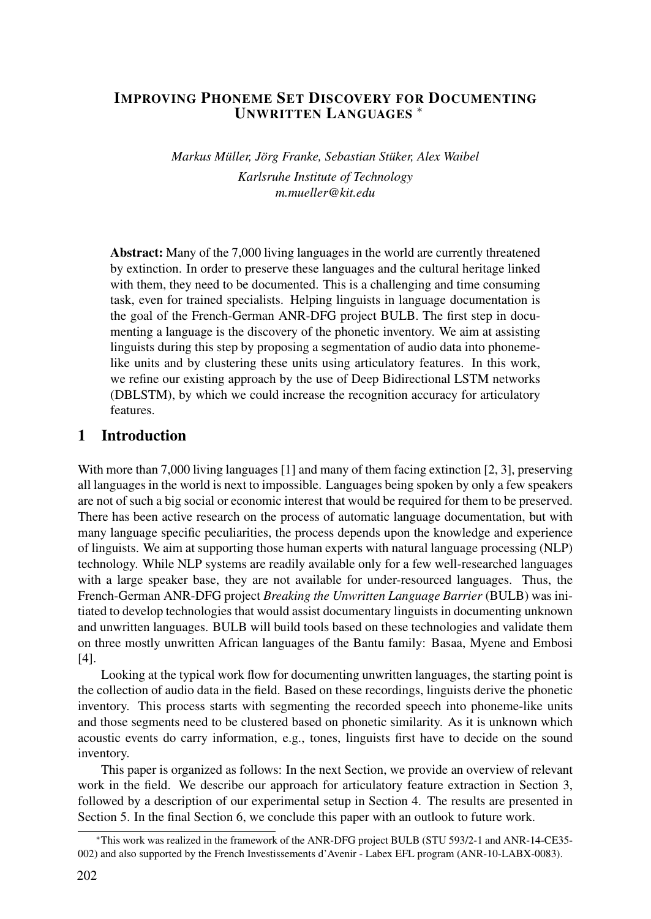## IMPROVING PHONEME SET DISCOVERY FOR DOCUMENTING UNWRITTEN LANGUAGES <sup>∗</sup>

*Markus Müller, Jörg Franke, Sebastian Stüker, Alex Waibel Karlsruhe Institute of Technology m.mueller@kit.edu*

Abstract: Many of the 7,000 living languages in the world are currently threatened by extinction. In order to preserve these languages and the cultural heritage linked with them, they need to be documented. This is a challenging and time consuming task, even for trained specialists. Helping linguists in language documentation is the goal of the French-German ANR-DFG project BULB. The first step in documenting a language is the discovery of the phonetic inventory. We aim at assisting linguists during this step by proposing a segmentation of audio data into phonemelike units and by clustering these units using articulatory features. In this work, we refine our existing approach by the use of Deep Bidirectional LSTM networks (DBLSTM), by which we could increase the recognition accuracy for articulatory features.

## 1 Introduction

With more than 7,000 living languages [1] and many of them facing extinction [2, 3], preserving all languages in the world is next to impossible. Languages being spoken by only a few speakers are not of such a big social or economic interest that would be required for them to be preserved. There has been active research on the process of automatic language documentation, but with many language specific peculiarities, the process depends upon the knowledge and experience of linguists. We aim at supporting those human experts with natural language processing (NLP) technology. While NLP systems are readily available only for a few well-researched languages with a large speaker base, they are not available for under-resourced languages. Thus, the French-German ANR-DFG project *Breaking the Unwritten Language Barrier* (BULB) was initiated to develop technologies that would assist documentary linguists in documenting unknown and unwritten languages. BULB will build tools based on these technologies and validate them on three mostly unwritten African languages of the Bantu family: Basaa, Myene and Embosi [4].

Looking at the typical work flow for documenting unwritten languages, the starting point is the collection of audio data in the field. Based on these recordings, linguists derive the phonetic inventory. This process starts with segmenting the recorded speech into phoneme-like units and those segments need to be clustered based on phonetic similarity. As it is unknown which acoustic events do carry information, e.g., tones, linguists first have to decide on the sound inventory.

This paper is organized as follows: In the next Section, we provide an overview of relevant work in the field. We describe our approach for articulatory feature extraction in Section 3, followed by a description of our experimental setup in Section 4. The results are presented in Section 5. In the final Section 6, we conclude this paper with an outlook to future work.

<sup>∗</sup>This work was realized in the framework of the ANR-DFG project BULB (STU 593/2-1 and ANR-14-CE35- 002) and also supported by the French Investissements d'Avenir - Labex EFL program (ANR-10-LABX-0083).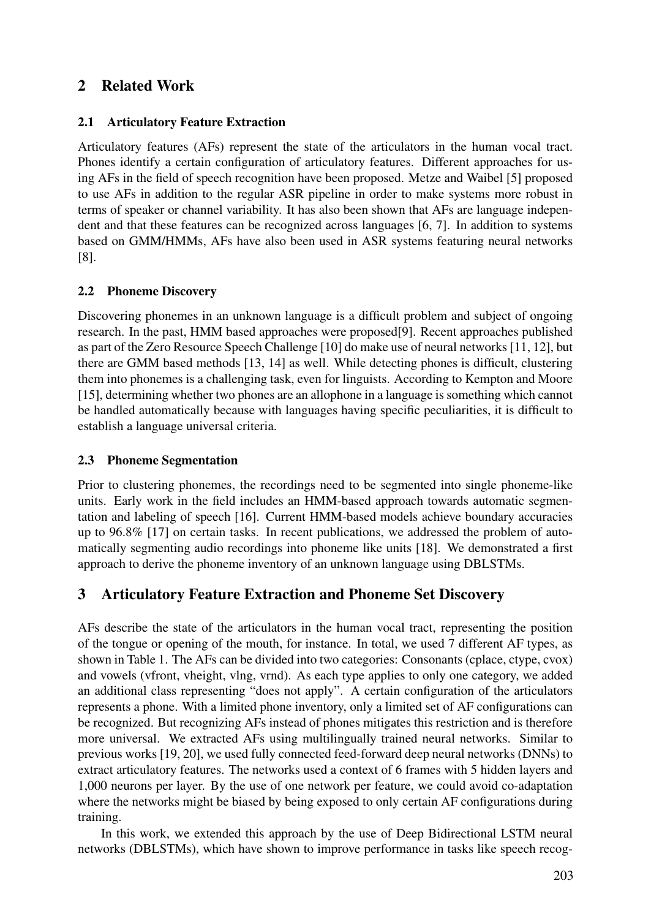# 2 Related Work

## 2.1 Articulatory Feature Extraction

Articulatory features (AFs) represent the state of the articulators in the human vocal tract. Phones identify a certain configuration of articulatory features. Different approaches for using AFs in the field of speech recognition have been proposed. Metze and Waibel [5] proposed to use AFs in addition to the regular ASR pipeline in order to make systems more robust in terms of speaker or channel variability. It has also been shown that AFs are language independent and that these features can be recognized across languages [6, 7]. In addition to systems based on GMM/HMMs, AFs have also been used in ASR systems featuring neural networks [8].

## 2.2 Phoneme Discovery

Discovering phonemes in an unknown language is a difficult problem and subject of ongoing research. In the past, HMM based approaches were proposed[9]. Recent approaches published as part of the Zero Resource Speech Challenge [10] do make use of neural networks [11, 12], but there are GMM based methods [13, 14] as well. While detecting phones is difficult, clustering them into phonemes is a challenging task, even for linguists. According to Kempton and Moore [15], determining whether two phones are an allophone in a language is something which cannot be handled automatically because with languages having specific peculiarities, it is difficult to establish a language universal criteria.

### 2.3 Phoneme Segmentation

Prior to clustering phonemes, the recordings need to be segmented into single phoneme-like units. Early work in the field includes an HMM-based approach towards automatic segmentation and labeling of speech [16]. Current HMM-based models achieve boundary accuracies up to 96.8% [17] on certain tasks. In recent publications, we addressed the problem of automatically segmenting audio recordings into phoneme like units [18]. We demonstrated a first approach to derive the phoneme inventory of an unknown language using DBLSTMs.

# 3 Articulatory Feature Extraction and Phoneme Set Discovery

AFs describe the state of the articulators in the human vocal tract, representing the position of the tongue or opening of the mouth, for instance. In total, we used 7 different AF types, as shown in Table 1. The AFs can be divided into two categories: Consonants (cplace, ctype, cvox) and vowels (vfront, vheight, vlng, vrnd). As each type applies to only one category, we added an additional class representing "does not apply". A certain configuration of the articulators represents a phone. With a limited phone inventory, only a limited set of AF configurations can be recognized. But recognizing AFs instead of phones mitigates this restriction and is therefore more universal. We extracted AFs using multilingually trained neural networks. Similar to previous works [19, 20], we used fully connected feed-forward deep neural networks (DNNs) to extract articulatory features. The networks used a context of 6 frames with 5 hidden layers and 1,000 neurons per layer. By the use of one network per feature, we could avoid co-adaptation where the networks might be biased by being exposed to only certain AF configurations during training.

In this work, we extended this approach by the use of Deep Bidirectional LSTM neural networks (DBLSTMs), which have shown to improve performance in tasks like speech recog-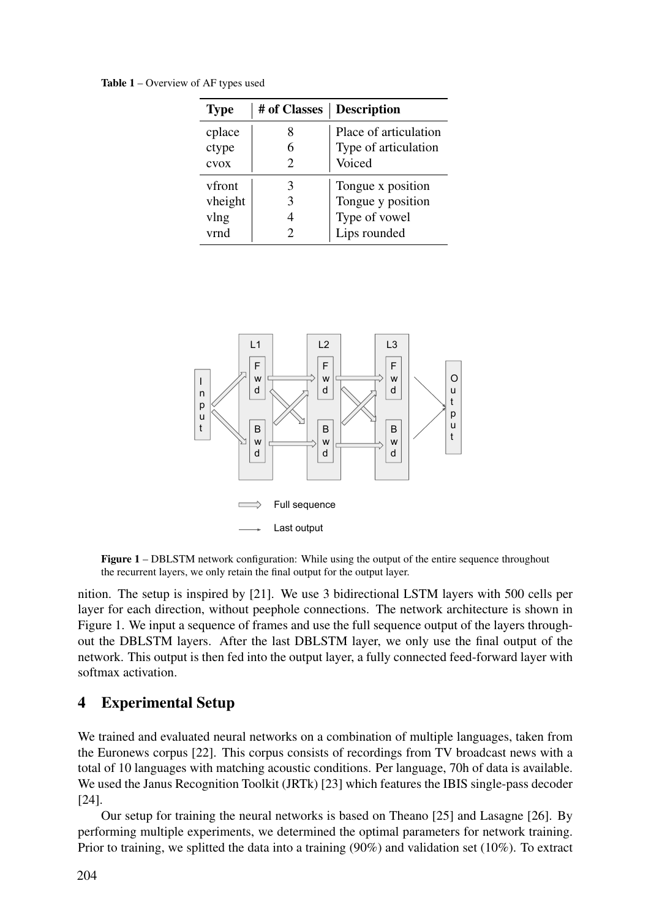Table 1 – Overview of AF types used

| <b>Type</b>   | # of Classes | <b>Description</b>    |  |  |
|---------------|--------------|-----------------------|--|--|
| cplace        |              | Place of articulation |  |  |
| ctype         |              | Type of articulation  |  |  |
| cvox          |              | Voiced                |  |  |
| <b>vfront</b> | 3            | Tongue x position     |  |  |
| vheight       | 3            | Tongue y position     |  |  |
| vlng          |              | Type of vowel         |  |  |
| vrnd          |              | Lips rounded          |  |  |



Figure 1 – DBLSTM network configuration: While using the output of the entire sequence throughout the recurrent layers, we only retain the final output for the output layer.

nition. The setup is inspired by [21]. We use 3 bidirectional LSTM layers with 500 cells per layer for each direction, without peephole connections. The network architecture is shown in Figure 1. We input a sequence of frames and use the full sequence output of the layers throughout the DBLSTM layers. After the last DBLSTM layer, we only use the final output of the network. This output is then fed into the output layer, a fully connected feed-forward layer with softmax activation.

#### 4 Experimental Setup

We trained and evaluated neural networks on a combination of multiple languages, taken from the Euronews corpus [22]. This corpus consists of recordings from TV broadcast news with a total of 10 languages with matching acoustic conditions. Per language, 70h of data is available. We used the Janus Recognition Toolkit (JRTk) [23] which features the IBIS single-pass decoder [24].

Our setup for training the neural networks is based on Theano [25] and Lasagne [26]. By performing multiple experiments, we determined the optimal parameters for network training. Prior to training, we splitted the data into a training (90%) and validation set (10%). To extract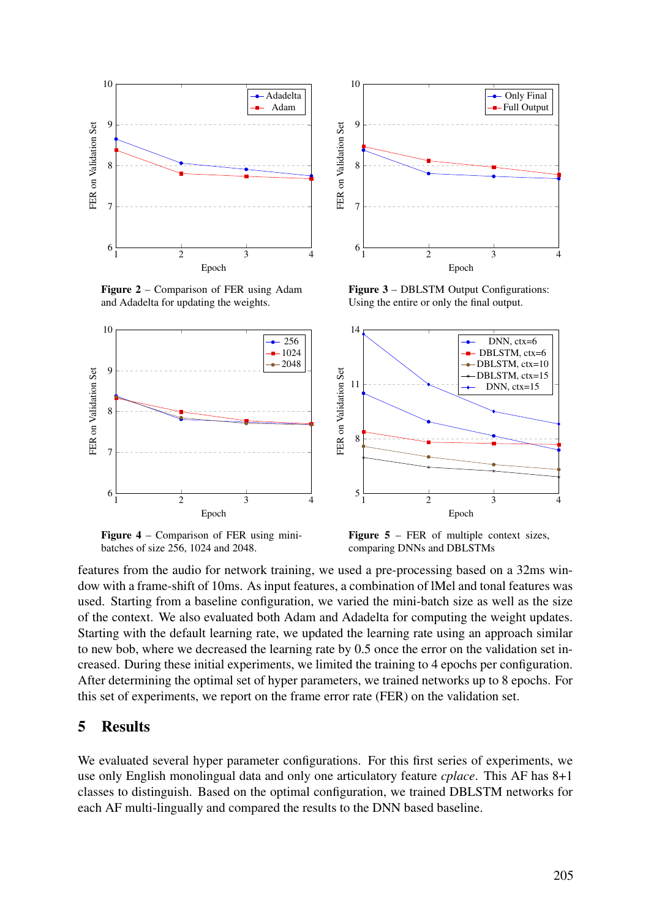

Figure 2 – Comparison of FER using Adam and Adadelta for updating the weights.



Figure 3 – DBLSTM Output Configurations: Using the entire or only the final output.



Figure 4 – Comparison of FER using minibatches of size 256, 1024 and 2048.

**Figure 5** – FER of multiple context sizes, comparing DNNs and DBLSTMs

features from the audio for network training, we used a pre-processing based on a 32ms window with a frame-shift of 10ms. As input features, a combination of lMel and tonal features was used. Starting from a baseline configuration, we varied the mini-batch size as well as the size of the context. We also evaluated both Adam and Adadelta for computing the weight updates. Starting with the default learning rate, we updated the learning rate using an approach similar to new bob, where we decreased the learning rate by 0.5 once the error on the validation set increased. During these initial experiments, we limited the training to 4 epochs per configuration. After determining the optimal set of hyper parameters, we trained networks up to 8 epochs. For this set of experiments, we report on the frame error rate (FER) on the validation set.

#### 5 Results

We evaluated several hyper parameter configurations. For this first series of experiments, we use only English monolingual data and only one articulatory feature *cplace*. This AF has 8+1 classes to distinguish. Based on the optimal configuration, we trained DBLSTM networks for each AF multi-lingually and compared the results to the DNN based baseline.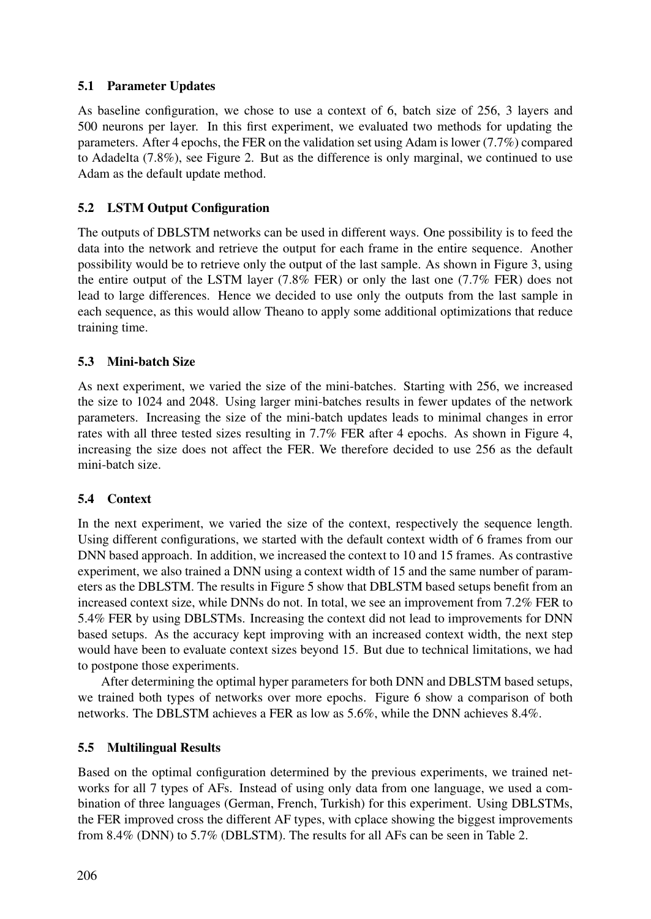## 5.1 Parameter Updates

As baseline configuration, we chose to use a context of 6, batch size of 256, 3 layers and 500 neurons per layer. In this first experiment, we evaluated two methods for updating the parameters. After 4 epochs, the FER on the validation set using Adam is lower (7.7%) compared to Adadelta (7.8%), see Figure 2. But as the difference is only marginal, we continued to use Adam as the default update method.

## 5.2 LSTM Output Configuration

The outputs of DBLSTM networks can be used in different ways. One possibility is to feed the data into the network and retrieve the output for each frame in the entire sequence. Another possibility would be to retrieve only the output of the last sample. As shown in Figure 3, using the entire output of the LSTM layer (7.8% FER) or only the last one (7.7% FER) does not lead to large differences. Hence we decided to use only the outputs from the last sample in each sequence, as this would allow Theano to apply some additional optimizations that reduce training time.

## 5.3 Mini-batch Size

As next experiment, we varied the size of the mini-batches. Starting with 256, we increased the size to 1024 and 2048. Using larger mini-batches results in fewer updates of the network parameters. Increasing the size of the mini-batch updates leads to minimal changes in error rates with all three tested sizes resulting in 7.7% FER after 4 epochs. As shown in Figure 4, increasing the size does not affect the FER. We therefore decided to use 256 as the default mini-batch size.

#### 5.4 Context

In the next experiment, we varied the size of the context, respectively the sequence length. Using different configurations, we started with the default context width of 6 frames from our DNN based approach. In addition, we increased the context to 10 and 15 frames. As contrastive experiment, we also trained a DNN using a context width of 15 and the same number of parameters as the DBLSTM. The results in Figure 5 show that DBLSTM based setups benefit from an increased context size, while DNNs do not. In total, we see an improvement from 7.2% FER to 5.4% FER by using DBLSTMs. Increasing the context did not lead to improvements for DNN based setups. As the accuracy kept improving with an increased context width, the next step would have been to evaluate context sizes beyond 15. But due to technical limitations, we had to postpone those experiments.

After determining the optimal hyper parameters for both DNN and DBLSTM based setups, we trained both types of networks over more epochs. Figure 6 show a comparison of both networks. The DBLSTM achieves a FER as low as 5.6%, while the DNN achieves 8.4%.

#### 5.5 Multilingual Results

Based on the optimal configuration determined by the previous experiments, we trained networks for all 7 types of AFs. Instead of using only data from one language, we used a combination of three languages (German, French, Turkish) for this experiment. Using DBLSTMs, the FER improved cross the different AF types, with cplace showing the biggest improvements from 8.4% (DNN) to 5.7% (DBLSTM). The results for all AFs can be seen in Table 2.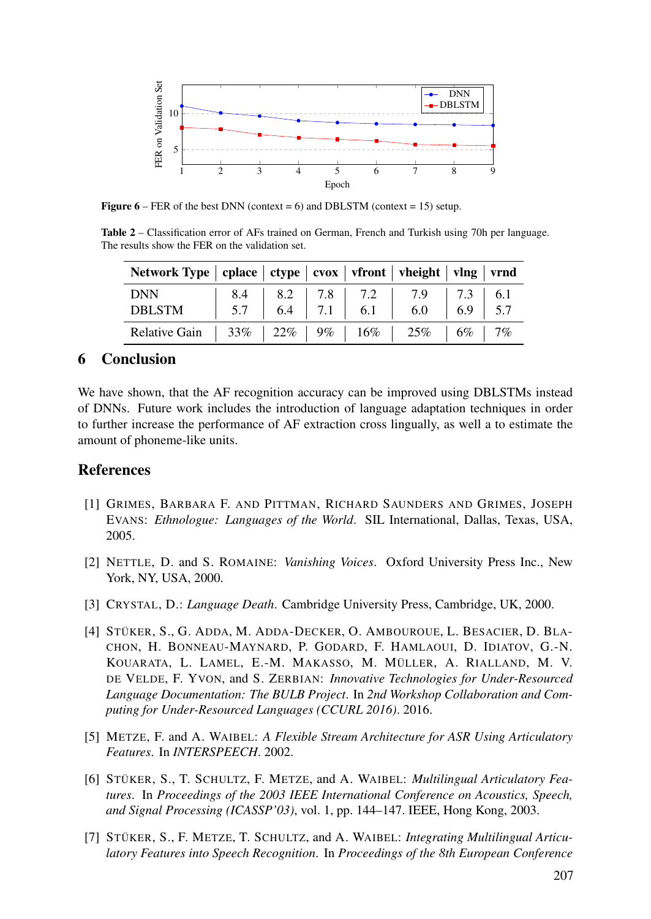

**Figure 6** – FER of the best DNN (context = 6) and DBLSTM (context = 15) setup.

Table 2 – Classification error of AFs trained on German, French and Turkish using 70h per language. The results show the FER on the validation set.

| Network Type   cplace   ctype   cvox   vfront   vheight   vlng   vrnd |  |  |                                                                                                                                                      |  |
|-----------------------------------------------------------------------|--|--|------------------------------------------------------------------------------------------------------------------------------------------------------|--|
| <b>DNN</b><br>DBLSTM                                                  |  |  | $\begin{array}{ c c c c c c c c c } \hline 8.4 & 8.2 & 7.8 & 7.2 & 7.9 & 7.3 & 6.1 \\ 5.7 & 6.4 & 7.1 & 6.1 & 6.0 & 6.9 & 5.7 \\ \hline \end{array}$ |  |
| Relative Gain   33%   22%   9%   16%   25%   6%   7%                  |  |  |                                                                                                                                                      |  |

## 6 Conclusion

We have shown, that the AF recognition accuracy can be improved using DBLSTMs instead of DNNs. Future work includes the introduction of language adaptation techniques in order to further increase the performance of AF extraction cross lingually, as well a to estimate the amount of phoneme-like units.

## **References**

- [1] GRIMES, BARBARA F. AND PITTMAN, RICHARD SAUNDERS AND GRIMES, JOSEPH EVANS: *Ethnologue: Languages of the World*. SIL International, Dallas, Texas, USA, 2005.
- [2] NETTLE, D. and S. ROMAINE: *Vanishing Voices*. Oxford University Press Inc., New York, NY, USA, 2000.
- [3] CRYSTAL, D.: *Language Death*. Cambridge University Press, Cambridge, UK, 2000.
- [4] STÜKER, S., G. ADDA, M. ADDA-DECKER, O. AMBOUROUE, L. BESACIER, D. BLA-CHON, H. BONNEAU-MAYNARD, P. GODARD, F. HAMLAOUI, D. IDIATOV, G.-N. KOUARATA, L. LAMEL, E.-M. MAKASSO, M. MÜLLER, A. RIALLAND, M. V. DE VELDE, F. YVON, and S. ZERBIAN: *Innovative Technologies for Under-Resourced Language Documentation: The BULB Project*. In *2nd Workshop Collaboration and Computing for Under-Resourced Languages (CCURL 2016)*. 2016.
- [5] METZE, F. and A. WAIBEL: *A Flexible Stream Architecture for ASR Using Articulatory Features*. In *INTERSPEECH*. 2002.
- [6] STÜKER, S., T. SCHULTZ, F. METZE, and A. WAIBEL: *Multilingual Articulatory Features*. In *Proceedings of the 2003 IEEE International Conference on Acoustics, Speech, and Signal Processing (ICASSP'03)*, vol. 1, pp. 144–147. IEEE, Hong Kong, 2003.
- [7] STÜKER, S., F. METZE, T. SCHULTZ, and A. WAIBEL: *Integrating Multilingual Articulatory Features into Speech Recognition*. In *Proceedings of the 8th European Conference*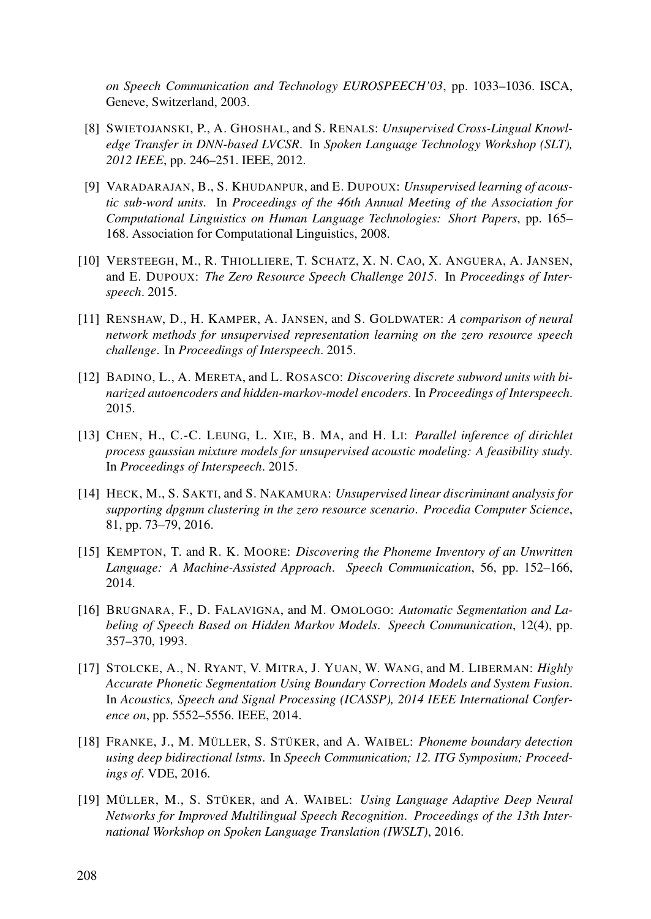*on Speech Communication and Technology EUROSPEECH'03*, pp. 1033–1036. ISCA, Geneve, Switzerland, 2003.

- [8] SWIETOJANSKI, P., A. GHOSHAL, and S. RENALS: *Unsupervised Cross-Lingual Knowledge Transfer in DNN-based LVCSR*. In *Spoken Language Technology Workshop (SLT), 2012 IEEE*, pp. 246–251. IEEE, 2012.
- [9] VARADARAJAN, B., S. KHUDANPUR, and E. DUPOUX: *Unsupervised learning of acoustic sub-word units*. In *Proceedings of the 46th Annual Meeting of the Association for Computational Linguistics on Human Language Technologies: Short Papers*, pp. 165– 168. Association for Computational Linguistics, 2008.
- [10] VERSTEEGH, M., R. THIOLLIERE, T. SCHATZ, X. N. CAO, X. ANGUERA, A. JANSEN, and E. DUPOUX: *The Zero Resource Speech Challenge 2015*. In *Proceedings of Interspeech*. 2015.
- [11] RENSHAW, D., H. KAMPER, A. JANSEN, and S. GOLDWATER: *A comparison of neural network methods for unsupervised representation learning on the zero resource speech challenge*. In *Proceedings of Interspeech*. 2015.
- [12] BADINO, L., A. MERETA, and L. ROSASCO: *Discovering discrete subword units with binarized autoencoders and hidden-markov-model encoders*. In *Proceedings of Interspeech*. 2015.
- [13] CHEN, H., C.-C. LEUNG, L. XIE, B. MA, and H. LI: *Parallel inference of dirichlet process gaussian mixture models for unsupervised acoustic modeling: A feasibility study*. In *Proceedings of Interspeech*. 2015.
- [14] HECK, M., S. SAKTI, and S. NAKAMURA: *Unsupervised linear discriminant analysis for supporting dpgmm clustering in the zero resource scenario*. *Procedia Computer Science*, 81, pp. 73–79, 2016.
- [15] KEMPTON, T. and R. K. MOORE: *Discovering the Phoneme Inventory of an Unwritten Language: A Machine-Assisted Approach*. *Speech Communication*, 56, pp. 152–166, 2014.
- [16] BRUGNARA, F., D. FALAVIGNA, and M. OMOLOGO: *Automatic Segmentation and Labeling of Speech Based on Hidden Markov Models*. *Speech Communication*, 12(4), pp. 357–370, 1993.
- [17] STOLCKE, A., N. RYANT, V. MITRA, J. YUAN, W. WANG, and M. LIBERMAN: *Highly Accurate Phonetic Segmentation Using Boundary Correction Models and System Fusion*. In *Acoustics, Speech and Signal Processing (ICASSP), 2014 IEEE International Conference on*, pp. 5552–5556. IEEE, 2014.
- [18] FRANKE, J., M. MÜLLER, S. STÜKER, and A. WAIBEL: *Phoneme boundary detection using deep bidirectional lstms*. In *Speech Communication; 12. ITG Symposium; Proceedings of*. VDE, 2016.
- [19] MÜLLER, M., S. STÜKER, and A. WAIBEL: *Using Language Adaptive Deep Neural Networks for Improved Multilingual Speech Recognition*. *Proceedings of the 13th International Workshop on Spoken Language Translation (IWSLT)*, 2016.